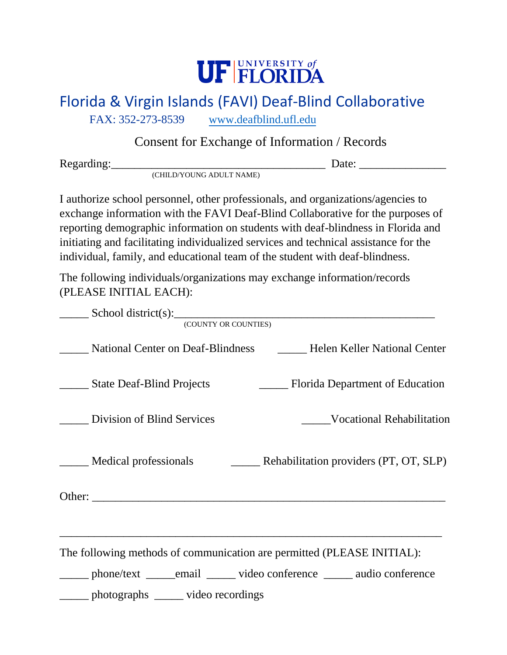

## Florida & Virgin Islands (FAVI) Deaf-Blind Collaborative

FAX: 352-273-8539 www.deafblind.uf[l.edu](file:///C:/Users/Owner/Desktop/FAVI/Consent/www.deafblind.ufl.edu)

## Consent for Exchange of Information / Records

Regarding:\_\_\_\_\_\_\_\_\_\_\_\_\_\_\_\_\_\_\_\_\_\_\_\_\_\_\_\_\_\_\_\_\_\_\_\_\_ Date: \_\_\_\_\_\_\_\_\_\_\_\_\_\_\_

(CHILD/YOUNG ADULT NAME)

I authorize school personnel, other professionals, and organizations/agencies to exchange information with the FAVI Deaf-Blind Collaborative for the purposes of reporting demographic information on students with deaf-blindness in Florida and initiating and facilitating individualized services and technical assistance for the individual, family, and educational team of the student with deaf-blindness.

The following individuals/organizations may exchange information/records (PLEASE INITIAL EACH):

| $School district(s):$<br>(COUNTY OR COUNTIES)                                                                                                           |                                                                |
|---------------------------------------------------------------------------------------------------------------------------------------------------------|----------------------------------------------------------------|
|                                                                                                                                                         | National Center on Deaf-Blindness Helen Keller National Center |
| <b>State Deaf-Blind Projects</b>                                                                                                                        | Florida Department of Education                                |
| Division of Blind Services                                                                                                                              | <b>Example 3</b> Vocational Rehabilitation                     |
| Medical professionals Rehabilitation providers (PT, OT, SLP)                                                                                            |                                                                |
|                                                                                                                                                         |                                                                |
| The following methods of communication are permitted (PLEASE INITIAL):<br>______ phone/text ______email ______ video conference ______ audio conference |                                                                |
| photographs ______ video recordings                                                                                                                     |                                                                |